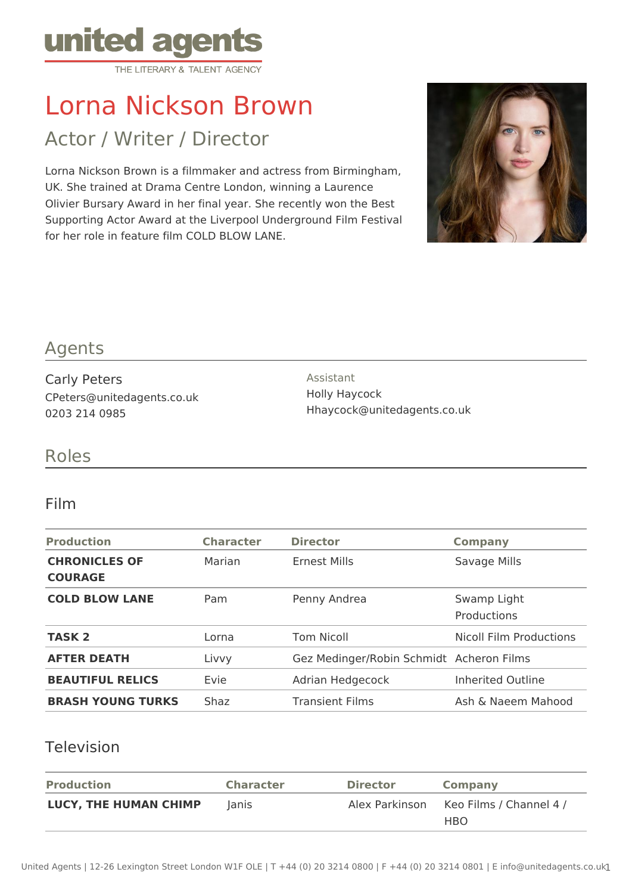

# Lorna Nickson Brown

Actor / Writer / Director

Lorna Nickson Brown is a filmmaker and actress from Birmingham, UK. She trained at Drama Centre London, winning a Laurence Olivier Bursary Award in her final year. She recently won the Best Supporting Actor Award at the Liverpool Underground Film Festival for her role in feature film COLD BLOW LANE.



## Agents

Carly Peters CPeters@unitedagents.co.uk 0203 214 0985

Assistant Holly Haycock Hhaycock@unitedagents.co.uk

## Roles

#### Film

| <b>Production</b>                      | <b>Character</b> | <b>Director</b>                          | <b>Company</b>                    |
|----------------------------------------|------------------|------------------------------------------|-----------------------------------|
| <b>CHRONICLES OF</b><br><b>COURAGE</b> | Marian           | Ernest Mills                             | Savage Mills                      |
| <b>COLD BLOW LANE</b>                  | Pam              | Penny Andrea                             | Swamp Light<br><b>Productions</b> |
| <b>TASK 2</b>                          | Lorna            | <b>Tom Nicoll</b>                        | <b>Nicoll Film Productions</b>    |
| <b>AFTER DEATH</b>                     | Livvy            | Gez Medinger/Robin Schmidt Acheron Films |                                   |
| <b>BEAUTIFUL RELICS</b>                | Evie             | Adrian Hedgecock                         | Inherited Outline                 |
| <b>BRASH YOUNG TURKS</b>               | Shaz             | <b>Transient Films</b>                   | Ash & Naeem Mahood                |

### Television

| <b>Production</b>            | <b>Character</b> | <b>Director</b> | Company                               |
|------------------------------|------------------|-----------------|---------------------------------------|
| <b>LUCY, THE HUMAN CHIMP</b> | lanis            | Alex Parkinson  | Keo Films / Channel 4 /<br><b>HBO</b> |
|                              |                  |                 |                                       |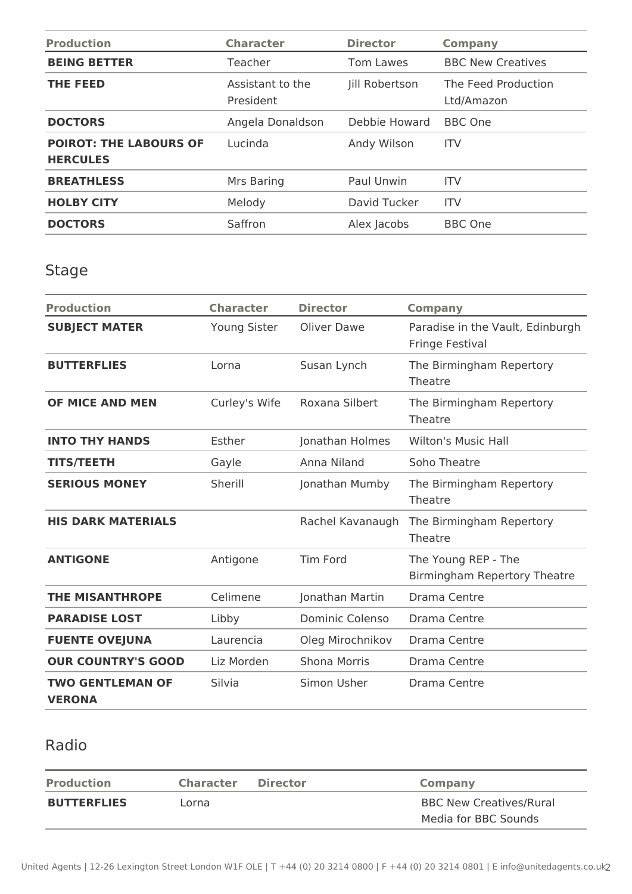| <b>Production</b>                                | <b>Character</b>              | <b>Director</b> | <b>Company</b>                    |
|--------------------------------------------------|-------------------------------|-----------------|-----------------------------------|
| <b>BEING BETTER</b>                              | Teacher                       | Tom Lawes       | <b>BBC New Creatives</b>          |
| THE FEED                                         | Assistant to the<br>President | Jill Robertson  | The Feed Production<br>Ltd/Amazon |
| <b>DOCTORS</b>                                   | Angela Donaldson              | Debbie Howard   | <b>BBC</b> One                    |
| <b>POIROT: THE LABOURS OF</b><br><b>HERCULES</b> | Lucinda                       | Andy Wilson     | <b>ITV</b>                        |
| <b>BREATHLESS</b>                                | Mrs Baring                    | Paul Unwin      | <b>ITV</b>                        |
| <b>HOLBY CITY</b>                                | Melody                        | David Tucker    | <b>ITV</b>                        |
| <b>DOCTORS</b>                                   | Saffron                       | Alex Jacobs     | <b>BBC</b> One                    |

## Stage

| <b>Production</b>                        | <b>Character</b>    | <b>Director</b>     | <b>Company</b>                                      |
|------------------------------------------|---------------------|---------------------|-----------------------------------------------------|
| <b>SUBJECT MATER</b>                     | <b>Young Sister</b> | Oliver Dawe         | Paradise in the Vault, Edinburgh<br>Fringe Festival |
| <b>BUTTERFLIES</b>                       | Lorna               | Susan Lynch         | The Birmingham Repertory<br>Theatre                 |
| OF MICE AND MEN                          | Curley's Wife       | Roxana Silbert      | The Birmingham Repertory<br>Theatre                 |
| <b>INTO THY HANDS</b>                    | Esther              | Jonathan Holmes     | <b>Wilton's Music Hall</b>                          |
| <b>TITS/TEETH</b>                        | Gayle               | Anna Niland         | Soho Theatre                                        |
| <b>SERIOUS MONEY</b>                     | Sherill             | Jonathan Mumby      | The Birmingham Repertory<br>Theatre                 |
| <b>HIS DARK MATERIALS</b>                |                     | Rachel Kavanaugh    | The Birmingham Repertory<br>Theatre                 |
| <b>ANTIGONE</b>                          | Antigone            | <b>Tim Ford</b>     | The Young REP - The<br>Birmingham Repertory Theatre |
| <b>THE MISANTHROPE</b>                   | Celimene            | Jonathan Martin     | Drama Centre                                        |
| <b>PARADISE LOST</b>                     | Libby               | Dominic Colenso     | Drama Centre                                        |
| <b>FUENTE OVEJUNA</b>                    | Laurencia           | Oleg Mirochnikov    | Drama Centre                                        |
| <b>OUR COUNTRY'S GOOD</b>                | Liz Morden          | <b>Shona Morris</b> | Drama Centre                                        |
| <b>TWO GENTLEMAN OF</b><br><b>VERONA</b> | Silvia              | Simon Usher         | Drama Centre                                        |

## Radio

| <b>Production</b>  | <b>Character</b> | <b>Director</b> | Company                        |
|--------------------|------------------|-----------------|--------------------------------|
| <b>BUTTERFLIES</b> | Lorna            |                 | <b>BBC New Creatives/Rural</b> |
|                    |                  |                 | Media for BBC Sounds           |